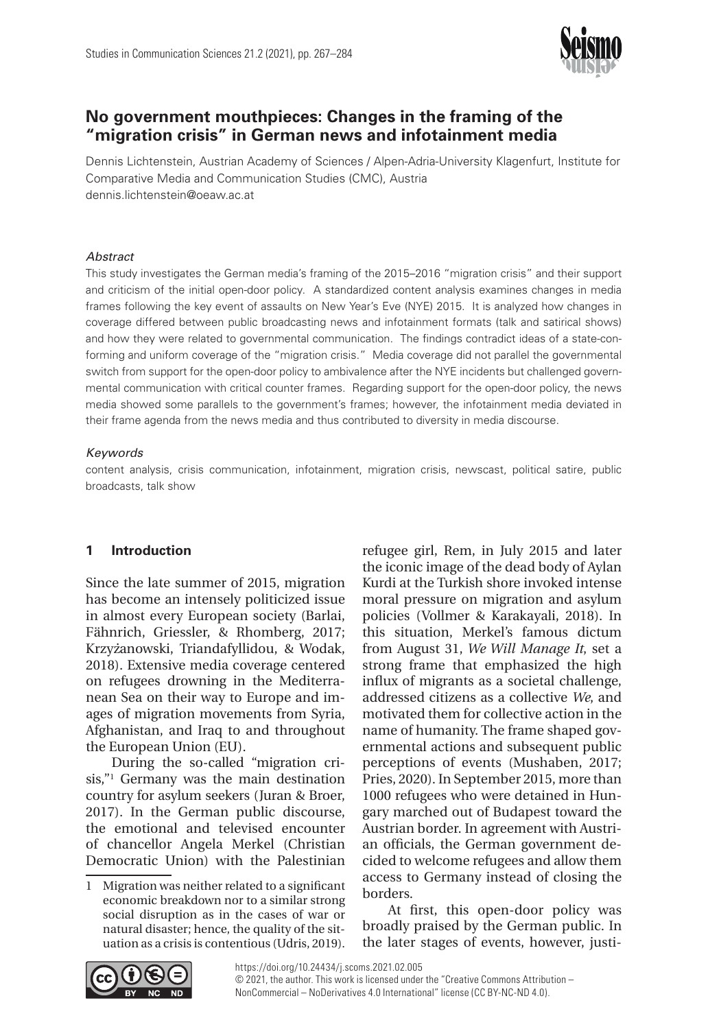

# **No government mouthpieces: Changes in the framing of the "migration crisis" in German news and infotainment media**

Dennis Lichtenstein, Austrian Academy of Sciences / Alpen-Adria-University Klagenfurt, Institute for Comparative Media and Communication Studies (CMC), Austria [dennis.lichtenstein@oeaw.ac.at](mailto:dennis.lichtenstein@oeaw.ac.at)

### *Abstract*

This study investigates the German media's framing of the 2015–2016 "migration crisis" and their support and criticism of the initial open-door policy. A standardized content analysis examines changes in media frames following the key event of assaults on New Year's Eve (NYE) 2015. It is analyzed how changes in coverage differed between public broadcasting news and infotainment formats (talk and satirical shows) and how they were related to governmental communication. The findings contradict ideas of a state-conforming and uniform coverage of the "migration crisis." Media coverage did not parallel the governmental switch from support for the open-door policy to ambivalence after the NYE incidents but challenged governmental communication with critical counter frames. Regarding support for the open-door policy, the news media showed some parallels to the government's frames; however, the infotainment media deviated in their frame agenda from the news media and thus contributed to diversity in media discourse.

## *Keywords*

content analysis, crisis communication, infotainment, migration crisis, newscast, political satire, public broadcasts, talk show

# **1 Introduction**

Since the late summer of 2015, migration has become an intensely politicized issue in almost every European society (Barlai, Fähnrich, Griessler, & Rhomberg, 2017; Krzyz· anowski, Triandafyllidou, & Wodak, 2018). Extensive media coverage centered on refugees drowning in the Mediterranean Sea on their way to Europe and images of migration movements from Syria, Afghanistan, and Iraq to and throughout the European Union (EU).

During the so-called "migration crisis,"1 Germany was the main destination country for asylum seekers (Juran & Broer, 2017). In the German public discourse, the emotional and televised encounter of chancellor Angela Merkel (Christian Democratic Union) with the Palestinian

refugee girl, Rem, in July 2015 and later the iconic image of the dead body of Aylan Kurdi at the Turkish shore invoked intense moral pressure on migration and asylum policies (Vollmer & Karakayali, 2018). In this situation, Merkel's famous dictum from August 31, *We Will Manage It*, set a strong frame that emphasized the high influx of migrants as a societal challenge, addressed citizens as a collective *We*, and motivated them for collective action in the name of humanity. The frame shaped governmental actions and subsequent public perceptions of events (Mushaben, 2017; Pries, 2020). In September 2015, more than 1000 refugees who were detained in Hungary marched out of Budapest toward the Austrian border. In agreement with Austrian officials, the German government decided to welcome refugees and allow them access to Germany instead of closing the borders.

At first, this open-door policy was broadly praised by the German public. In the later stages of events, however, justi-



<sup>1</sup> Migration was neither related to a significant economic breakdown nor to a similar strong social disruption as in the cases of war or natural disaster; hence, the quality of the situation as a crisis is contentious (Udris, 2019).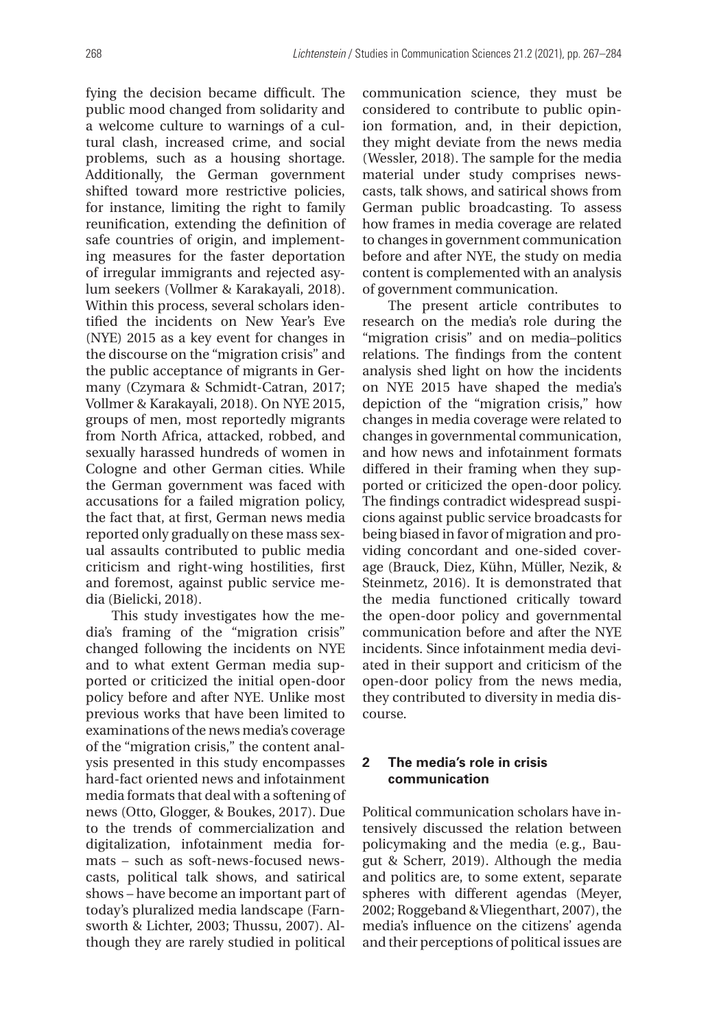fying the decision became difficult. The public mood changed from solidarity and a welcome culture to warnings of a cultural clash, increased crime, and social problems, such as a housing shortage. Additionally, the German government shifted toward more restrictive policies, for instance, limiting the right to family reunification, extending the definition of safe countries of origin, and implementing measures for the faster deportation of irregular immigrants and rejected asylum seekers (Vollmer & Karakayali, 2018). Within this process, several scholars identified the incidents on New Year's Eve (NYE) 2015 as a key event for changes in the discourse on the "migration crisis" and the public acceptance of migrants in Germany (Czymara & Schmidt-Catran, 2017; Vollmer & Karakayali, 2018). On NYE 2015, groups of men, most reportedly migrants from North Africa, attacked, robbed, and sexually harassed hundreds of women in Cologne and other German cities. While the German government was faced with accusations for a failed migration policy, the fact that, at first, German news media reported only gradually on these mass sexual assaults contributed to public media criticism and right-wing hostilities, first and foremost, against public service media (Bielicki, 2018).

This study investigates how the media's framing of the "migration crisis" changed following the incidents on NYE and to what extent German media supported or criticized the initial open-door policy before and after NYE. Unlike most previous works that have been limited to examinations of the news media's coverage of the "migration crisis," the content analysis presented in this study encompasses hard-fact oriented news and infotainment media formats that deal with a softening of news (Otto, Glogger, & Boukes, 2017). Due to the trends of commercialization and digitalization, infotainment media formats – such as soft-news-focused newscasts, political talk shows, and satirical shows – have become an important part of today's pluralized media landscape (Farnsworth & Lichter, 2003; Thussu, 2007). Although they are rarely studied in political

communication science, they must be considered to contribute to public opinion formation, and, in their depiction, they might deviate from the news media (Wessler, 2018). The sample for the media material under study comprises newscasts, talk shows, and satirical shows from German public broadcasting. To assess how frames in media coverage are related to changes in government communication before and after NYE, the study on media content is complemented with an analysis of government communication.

The present article contributes to research on the media's role during the "migration crisis" and on media–politics relations. The findings from the content analysis shed light on how the incidents on NYE 2015 have shaped the media's depiction of the "migration crisis," how changes in media coverage were related to changes in governmental communication, and how news and infotainment formats differed in their framing when they supported or criticized the open-door policy. The findings contradict widespread suspicions against public service broadcasts for being biased in favor of migration and providing concordant and one-sided coverage (Brauck, Diez, Kühn, Müller, Nezik, & Steinmetz, 2016). It is demonstrated that the media functioned critically toward the open-door policy and governmental communication before and after the NYE incidents. Since infotainment media deviated in their support and criticism of the open-door policy from the news media, they contributed to diversity in media discourse.

# **2 The media's role in crisis communication**

Political communication scholars have intensively discussed the relation between policymaking and the media (e.g., Baugut & Scherr, 2019). Although the media and politics are, to some extent, separate spheres with different agendas (Meyer, 2002; Roggeband & Vliegenthart, 2007), the media's influence on the citizens' agenda and their perceptions of political issues are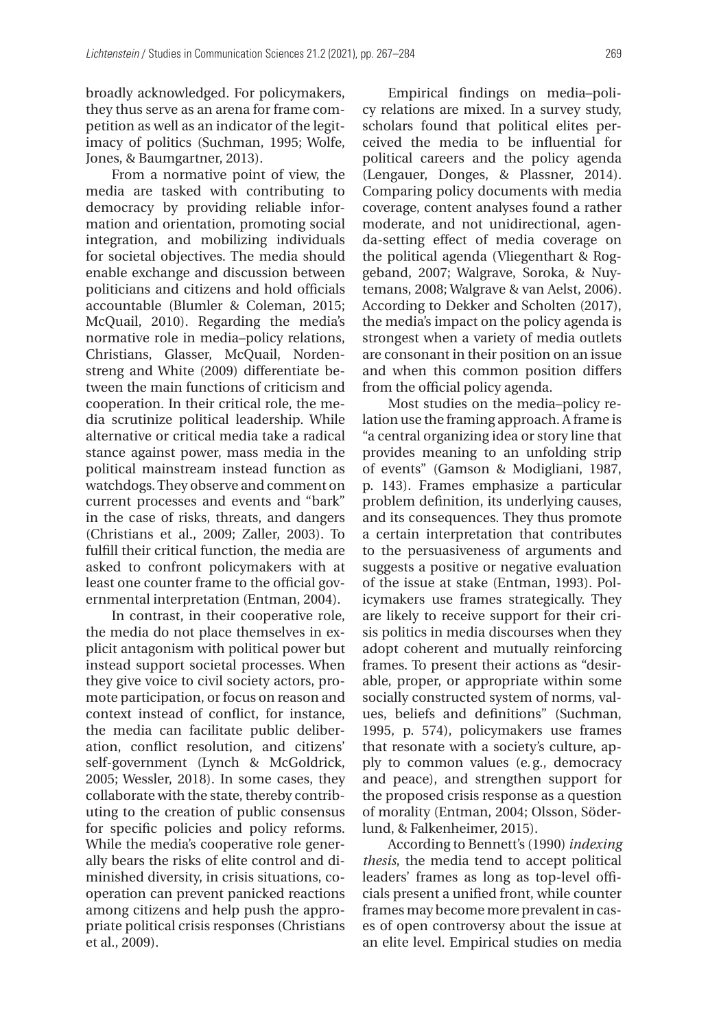broadly acknowledged. For policymakers, they thus serve as an arena for frame competition as well as an indicator of the legitimacy of politics (Suchman, 1995; Wolfe, Jones, & Baumgartner, 2013).

From a normative point of view, the media are tasked with contributing to democracy by providing reliable information and orientation, promoting social integration, and mobilizing individuals for societal objectives. The media should enable exchange and discussion between politicians and citizens and hold officials accountable (Blumler & Coleman, 2015; McQuail, 2010). Regarding the media's normative role in media–policy relations, Christians, Glasser, McQuail, Nordenstreng and White (2009) differentiate between the main functions of criticism and cooperation. In their critical role, the media scrutinize political leadership. While alternative or critical media take a radical stance against power, mass media in the political mainstream instead function as watchdogs. They observe and comment on current processes and events and "bark" in the case of risks, threats, and dangers (Christians et al., 2009; Zaller, 2003). To fulfill their critical function, the media are asked to confront policymakers with at least one counter frame to the official governmental interpretation (Entman, 2004).

In contrast, in their cooperative role, the media do not place themselves in explicit antagonism with political power but instead support societal processes. When they give voice to civil society actors, promote participation, or focus on reason and context instead of conflict, for instance, the media can facilitate public deliberation, conflict resolution, and citizens' self-government (Lynch & McGoldrick, 2005; Wessler, 2018). In some cases, they collaborate with the state, thereby contributing to the creation of public consensus for specific policies and policy reforms. While the media's cooperative role generally bears the risks of elite control and diminished diversity, in crisis situations, cooperation can prevent panicked reactions among citizens and help push the appropriate political crisis responses (Christians et al., 2009).

Empirical findings on media–policy relations are mixed. In a survey study, scholars found that political elites perceived the media to be influential for political careers and the policy agenda (Lengauer, Donges, & Plassner, 2014). Comparing policy documents with media coverage, content analyses found a rather moderate, and not unidirectional, agenda-setting effect of media coverage on the political agenda (Vliegenthart & Roggeband, 2007; Walgrave, Soroka, & Nuytemans, 2008; Walgrave & van Aelst, 2006). According to Dekker and Scholten (2017), the media's impact on the policy agenda is strongest when a variety of media outlets are consonant in their position on an issue and when this common position differs from the official policy agenda.

Most studies on the media–policy relation use the framing approach. A frame is "a central organizing idea or story line that provides meaning to an unfolding strip of events" (Gamson & Modigliani, 1987, p. 143). Frames emphasize a particular problem definition, its underlying causes, and its consequences. They thus promote a certain interpretation that contributes to the persuasiveness of arguments and suggests a positive or negative evaluation of the issue at stake (Entman, 1993). Policymakers use frames strategically. They are likely to receive support for their crisis politics in media discourses when they adopt coherent and mutually reinforcing frames. To present their actions as "desirable, proper, or appropriate within some socially constructed system of norms, values, beliefs and definitions" (Suchman, 1995, p. 574), policymakers use frames that resonate with a society's culture, apply to common values (e.g., democracy and peace), and strengthen support for the proposed crisis response as a question of morality (Entman, 2004; Olsson, Söderlund, & Falkenheimer, 2015).

According to Bennett's (1990) *indexing thesis*, the media tend to accept political leaders' frames as long as top-level officials present a unified front, while counter frames may become more prevalent in cases of open controversy about the issue at an elite level. Empirical studies on media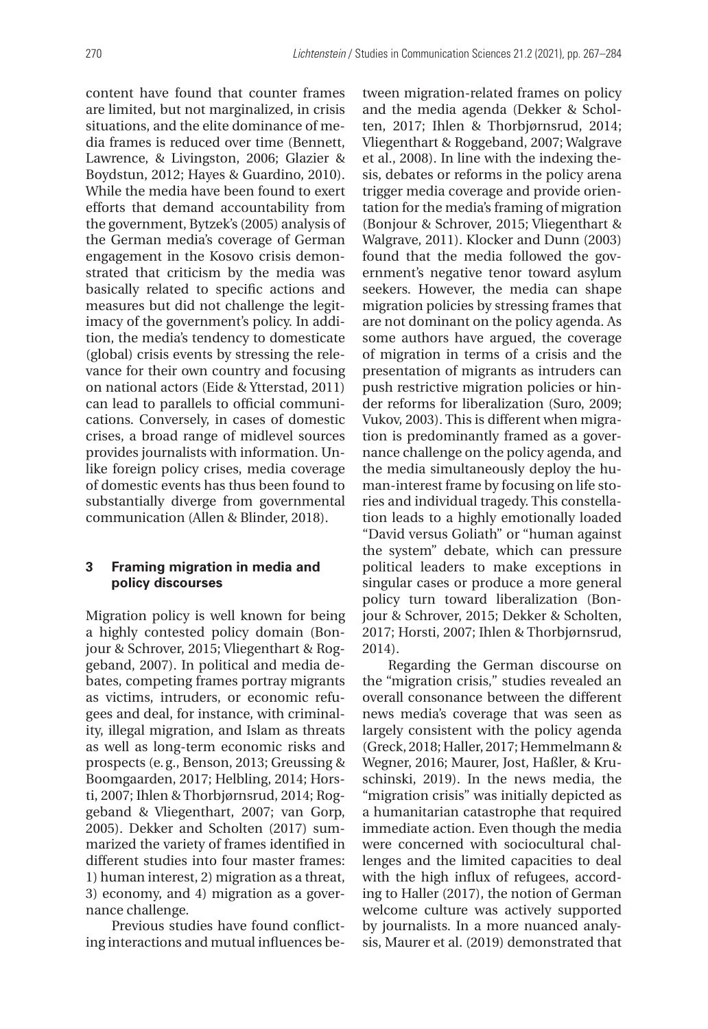content have found that counter frames are limited, but not marginalized, in crisis situations, and the elite dominance of media frames is reduced over time (Bennett, Lawrence, & Livingston, 2006; Glazier & Boydstun, 2012; Hayes & Guardino, 2010). While the media have been found to exert efforts that demand accountability from the government, Bytzek's (2005) analysis of the German media's coverage of German engagement in the Kosovo crisis demonstrated that criticism by the media was basically related to specific actions and measures but did not challenge the legitimacy of the government's policy. In addition, the media's tendency to domesticate (global) crisis events by stressing the relevance for their own country and focusing on national actors (Eide & Ytterstad, 2011) can lead to parallels to official communications. Conversely, in cases of domestic crises, a broad range of midlevel sources provides journalists with information. Unlike foreign policy crises, media coverage of domestic events has thus been found to substantially diverge from governmental communication (Allen & Blinder, 2018).

# **3 Framing migration in media and policy discourses**

Migration policy is well known for being a highly contested policy domain (Bonjour & Schrover, 2015; Vliegenthart & Roggeband, 2007). In political and media debates, competing frames portray migrants as victims, intruders, or economic refugees and deal, for instance, with criminality, illegal migration, and Islam as threats as well as long-term economic risks and prospects (e.g., Benson, 2013; Greussing & Boomgaarden, 2017; Helbling, 2014; Horsti, 2007; Ihlen & Thorbjørnsrud, 2014; Roggeband & Vliegenthart, 2007; van Gorp, 2005). Dekker and Scholten (2017) summarized the variety of frames identified in different studies into four master frames: 1) human interest, 2) migration as a threat, 3) economy, and 4) migration as a governance challenge.

Previous studies have found conflicting interactions and mutual influences between migration-related frames on policy and the media agenda (Dekker & Scholten, 2017; Ihlen & Thorbjørnsrud, 2014; Vliegenthart & Roggeband, 2007; Walgrave et al., 2008). In line with the indexing thesis, debates or reforms in the policy arena trigger media coverage and provide orientation for the media's framing of migration (Bonjour & Schrover, 2015; Vliegenthart & Walgrave, 2011). Klocker and Dunn (2003) found that the media followed the government's negative tenor toward asylum seekers. However, the media can shape migration policies by stressing frames that are not dominant on the policy agenda. As some authors have argued, the coverage of migration in terms of a crisis and the presentation of migrants as intruders can push restrictive migration policies or hinder reforms for liberalization (Suro, 2009; Vukov, 2003). This is different when migration is predominantly framed as a governance challenge on the policy agenda, and the media simultaneously deploy the human-interest frame by focusing on life stories and individual tragedy. This constellation leads to a highly emotionally loaded "David versus Goliath" or "human against the system" debate, which can pressure political leaders to make exceptions in singular cases or produce a more general policy turn toward liberalization (Bonjour & Schrover, 2015; Dekker & Scholten, 2017; Horsti, 2007; Ihlen & Thorbjørnsrud, 2014).

Regarding the German discourse on the "migration crisis," studies revealed an overall consonance between the different news media's coverage that was seen as largely consistent with the policy agenda (Greck, 2018; Haller, 2017; Hemmelmann & Wegner, 2016; Maurer, Jost, Haßler, & Kruschinski, 2019). In the news media, the "migration crisis" was initially depicted as a humanitarian catastrophe that required immediate action. Even though the media were concerned with sociocultural challenges and the limited capacities to deal with the high influx of refugees, according to Haller (2017), the notion of German welcome culture was actively supported by journalists. In a more nuanced analysis, Maurer et al. (2019) demonstrated that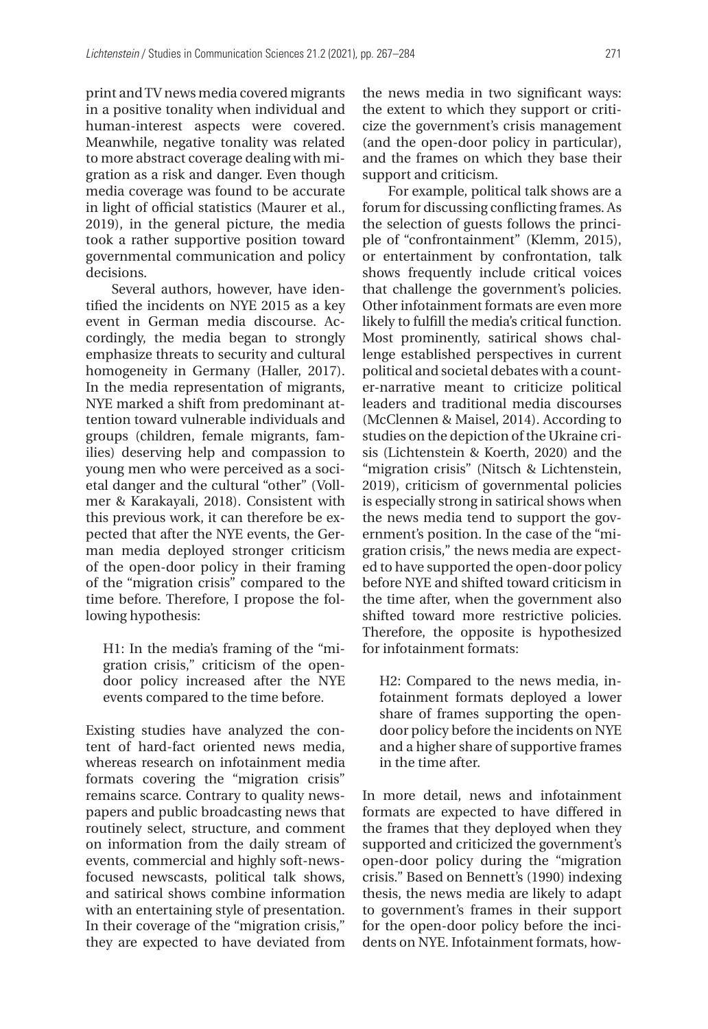print and TV news media covered migrants in a positive tonality when individual and human-interest aspects were covered. Meanwhile, negative tonality was related to more abstract coverage dealing with migration as a risk and danger. Even though media coverage was found to be accurate in light of official statistics (Maurer et al., 2019), in the general picture, the media took a rather supportive position toward governmental communication and policy decisions.

Several authors, however, have identified the incidents on NYE 2015 as a key event in German media discourse. Accordingly, the media began to strongly emphasize threats to security and cultural homogeneity in Germany (Haller, 2017). In the media representation of migrants, NYE marked a shift from predominant attention toward vulnerable individuals and groups (children, female migrants, families) deserving help and compassion to young men who were perceived as a societal danger and the cultural "other" (Vollmer & Karakayali, 2018). Consistent with this previous work, it can therefore be expected that after the NYE events, the German media deployed stronger criticism of the open-door policy in their framing of the "migration crisis" compared to the time before. Therefore, I propose the following hypothesis:

H1: In the media's framing of the "migration crisis," criticism of the opendoor policy increased after the NYE events compared to the time before.

Existing studies have analyzed the content of hard-fact oriented news media, whereas research on infotainment media formats covering the "migration crisis" remains scarce. Contrary to quality newspapers and public broadcasting news that routinely select, structure, and comment on information from the daily stream of events, commercial and highly soft-newsfocused newscasts, political talk shows, and satirical shows combine information with an entertaining style of presentation. In their coverage of the "migration crisis," they are expected to have deviated from

the news media in two significant ways: the extent to which they support or criticize the government's crisis management (and the open-door policy in particular), and the frames on which they base their support and criticism.

For example, political talk shows are a forum for discussing conflicting frames. As the selection of guests follows the principle of "confrontainment" (Klemm, 2015), or entertainment by confrontation, talk shows frequently include critical voices that challenge the government's policies. Other infotainment formats are even more likely to fulfill the media's critical function. Most prominently, satirical shows challenge established perspectives in current political and societal debates with a counter-narrative meant to criticize political leaders and traditional media discourses (McClennen & Maisel, 2014). According to studies on the depiction of the Ukraine crisis (Lichtenstein & Koerth, 2020) and the "migration crisis" (Nitsch & Lichtenstein, 2019), criticism of governmental policies is especially strong in satirical shows when the news media tend to support the government's position. In the case of the "migration crisis," the news media are expected to have supported the open-door policy before NYE and shifted toward criticism in the time after, when the government also shifted toward more restrictive policies. Therefore, the opposite is hypothesized for infotainment formats:

H2: Compared to the news media, infotainment formats deployed a lower share of frames supporting the opendoor policy before the incidents on NYE and a higher share of supportive frames in the time after.

In more detail, news and infotainment formats are expected to have differed in the frames that they deployed when they supported and criticized the government's open-door policy during the "migration crisis." Based on Bennett's (1990) indexing thesis, the news media are likely to adapt to government's frames in their support for the open-door policy before the incidents on NYE. Infotainment formats, how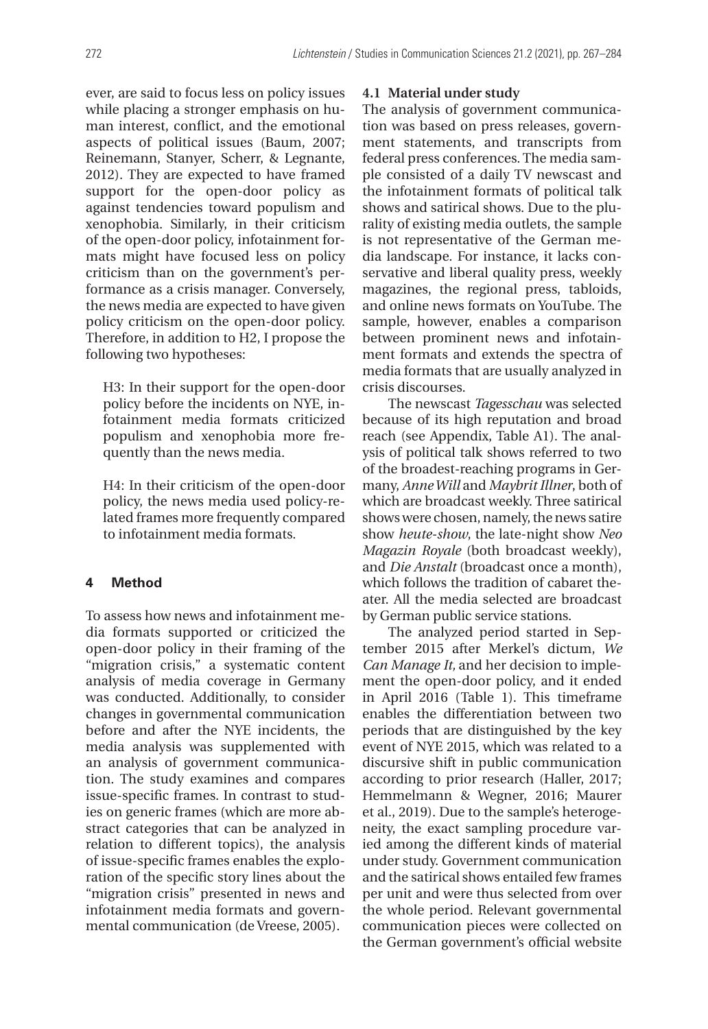ever, are said to focus less on policy issues while placing a stronger emphasis on human interest, conflict, and the emotional aspects of political issues (Baum, 2007; Reinemann, Stanyer, Scherr, & Legnante, 2012). They are expected to have framed support for the open-door policy as against tendencies toward populism and xenophobia. Similarly, in their criticism of the open-door policy, infotainment formats might have focused less on policy criticism than on the government's performance as a crisis manager. Conversely, the news media are expected to have given policy criticism on the open-door policy. Therefore, in addition to H2, I propose the following two hypotheses:

H3: In their support for the open-door policy before the incidents on NYE, infotainment media formats criticized populism and xenophobia more frequently than the news media.

H4: In their criticism of the open-door policy, the news media used policy-related frames more frequently compared to infotainment media formats.

### **4 Method**

To assess how news and infotainment media formats supported or criticized the open-door policy in their framing of the "migration crisis," a systematic content analysis of media coverage in Germany was conducted. Additionally, to consider changes in governmental communication before and after the NYE incidents, the media analysis was supplemented with an analysis of government communication. The study examines and compares issue-specific frames. In contrast to studies on generic frames (which are more abstract categories that can be analyzed in relation to different topics), the analysis of issue-specific frames enables the exploration of the specific story lines about the "migration crisis" presented in news and infotainment media formats and governmental communication (de Vreese, 2005).

#### **4.1 Material under study**

The analysis of government communication was based on press releases, government statements, and transcripts from federal press conferences. The media sample consisted of a daily TV newscast and the infotainment formats of political talk shows and satirical shows. Due to the plurality of existing media outlets, the sample is not representative of the German media landscape. For instance, it lacks conservative and liberal quality press, weekly magazines, the regional press, tabloids, and online news formats on YouTube. The sample, however, enables a comparison between prominent news and infotainment formats and extends the spectra of media formats that are usually analyzed in crisis discourses.

The newscast *Tagesschau* was selected because of its high reputation and broad reach (see Appendix, Table A1). The analysis of political talk shows referred to two of the broadest-reaching programs in Germany, *Anne Will* and *Maybrit Illner*, both of which are broadcast weekly. Three satirical shows were chosen, namely, the news satire show *heute-show*, the late-night show *Neo Magazin Royale* (both broadcast weekly), and *Die Anstalt* (broadcast once a month), which follows the tradition of cabaret theater. All the media selected are broadcast by German public service stations.

The analyzed period started in September 2015 after Merkel's dictum, *We Can Manage It,* and her decision to implement the open-door policy, and it ended in April 2016 (Table 1). This timeframe enables the differentiation between two periods that are distinguished by the key event of NYE 2015, which was related to a discursive shift in public communication according to prior research (Haller, 2017; Hemmelmann & Wegner, 2016; Maurer et al., 2019). Due to the sample's heterogeneity, the exact sampling procedure varied among the different kinds of material under study. Government communication and the satirical shows entailed few frames per unit and were thus selected from over the whole period. Relevant governmental communication pieces were collected on the German government's official website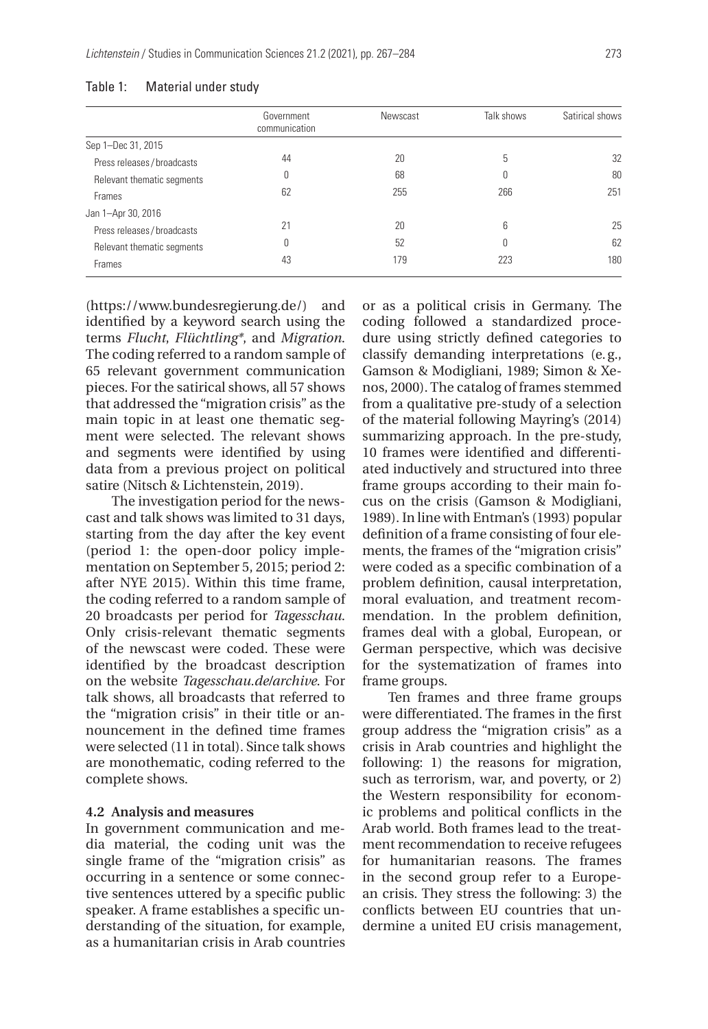|                             | Government<br>communication | Newscast | Talk shows | Satirical shows |
|-----------------------------|-----------------------------|----------|------------|-----------------|
| Sep 1-Dec 31, 2015          |                             |          |            |                 |
| Press releases / broadcasts | 44                          | 20       | 5          | 32              |
| Relevant thematic segments  | 0                           | 68       | 0          | 80              |
| Frames                      | 62                          | 255      | 266        | 251             |
| Jan 1-Apr 30, 2016          |                             |          |            |                 |
| Press releases / broadcasts | 21                          | 20       | 6          | 25              |
| Relevant thematic segments  | 0                           | 52       | 0          | 62              |
| Frames                      | 43                          | 179      | 223        | 180             |

#### Table 1: Material under study

([https://www.bundesregierung.de/\)](https://www.bundesregierung.de/) and identified by a keyword search using the terms *Flucht*, *Flüchtling\**, and *Migration*. The coding referred to a random sample of 65 relevant government communication pieces. For the satirical shows, all 57 shows that addressed the "migration crisis" as the main topic in at least one thematic segment were selected. The relevant shows and segments were identified by using data from a previous project on political satire (Nitsch & Lichtenstein, 2019).

The investigation period for the newscast and talk shows was limited to 31 days, starting from the day after the key event (period 1: the open-door policy implementation on September 5, 2015; period 2: after NYE 2015). Within this time frame, the coding referred to a random sample of 20 broadcasts per period for *Tagesschau*. Only crisis-relevant thematic segments of the newscast were coded. These were identified by the broadcast description on the website *[Tagesschau.de/archive](http://Tagesschau.de/archive)*. For talk shows, all broadcasts that referred to the "migration crisis" in their title or announcement in the defined time frames were selected (11 in total). Since talk shows are monothematic, coding referred to the complete shows.

#### **4.2 Analysis and measures**

In government communication and media material, the coding unit was the single frame of the "migration crisis" as occurring in a sentence or some connective sentences uttered by a specific public speaker. A frame establishes a specific understanding of the situation, for example, as a humanitarian crisis in Arab countries

or as a political crisis in Germany. The coding followed a standardized procedure using strictly defined categories to classify demanding interpretations (e.g., Gamson & Modigliani, 1989; Simon & Xenos, 2000). The catalog of frames stemmed from a qualitative pre-study of a selection of the material following Mayring's (2014) summarizing approach. In the pre-study, 10 frames were identified and differentiated inductively and structured into three frame groups according to their main focus on the crisis (Gamson & Modigliani, 1989). In line with Entman's (1993) popular definition of a frame consisting of four elements, the frames of the "migration crisis" were coded as a specific combination of a problem definition, causal interpretation, moral evaluation, and treatment recommendation. In the problem definition, frames deal with a global, European, or German perspective, which was decisive for the systematization of frames into frame groups.

Ten frames and three frame groups were differentiated. The frames in the first group address the "migration crisis" as a crisis in Arab countries and highlight the following: 1) the reasons for migration, such as terrorism, war, and poverty, or 2) the Western responsibility for economic problems and political conflicts in the Arab world. Both frames lead to the treatment recommendation to receive refugees for humanitarian reasons. The frames in the second group refer to a European crisis. They stress the following: 3) the conflicts between EU countries that undermine a united EU crisis management,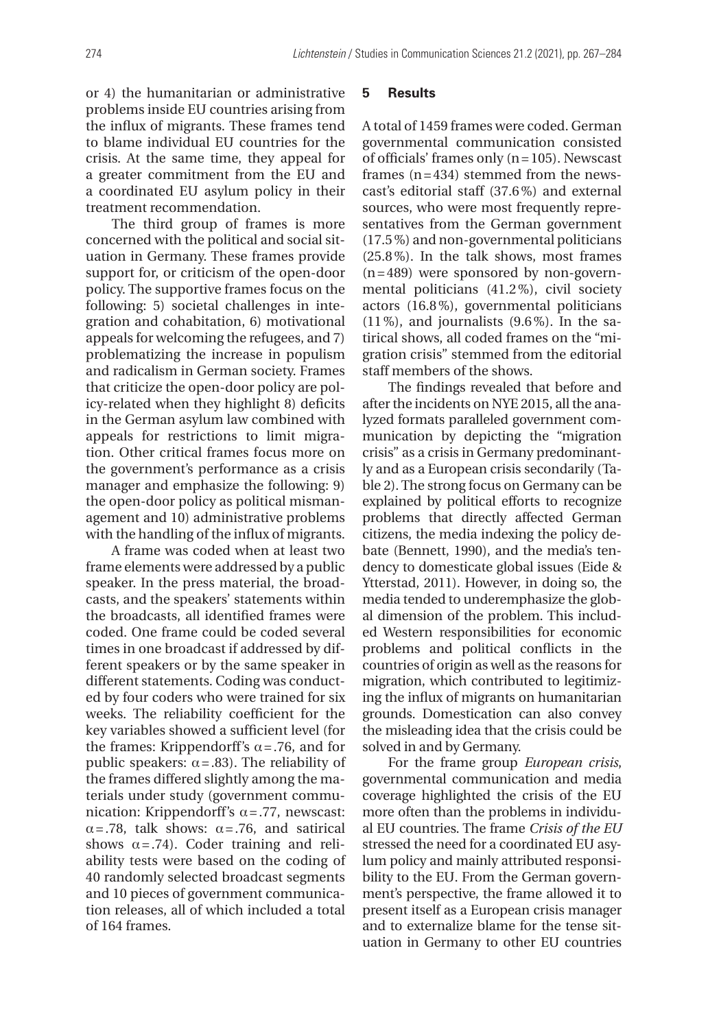or 4) the humanitarian or administrative problems inside EU countries arising from the influx of migrants. These frames tend to blame individual EU countries for the crisis. At the same time, they appeal for a greater commitment from the EU and a coordinated EU asylum policy in their treatment recommendation.

The third group of frames is more concerned with the political and social situation in Germany. These frames provide support for, or criticism of the open-door policy. The supportive frames focus on the following: 5) societal challenges in integration and cohabitation, 6) motivational appeals for welcoming the refugees, and 7) problematizing the increase in populism and radicalism in German society. Frames that criticize the open-door policy are policy-related when they highlight 8) deficits in the German asylum law combined with appeals for restrictions to limit migration. Other critical frames focus more on the government's performance as a crisis manager and emphasize the following: 9) the open-door policy as political mismanagement and 10) administrative problems with the handling of the influx of migrants.

A frame was coded when at least two frame elements were addressed by a public speaker. In the press material, the broadcasts, and the speakers' statements within the broadcasts, all identified frames were coded. One frame could be coded several times in one broadcast if addressed by different speakers or by the same speaker in different statements. Coding was conducted by four coders who were trained for six weeks. The reliability coefficient for the key variables showed a sufficient level (for the frames: Krippendorff's  $α = .76$ , and for public speakers:  $α = .83$ ). The reliability of the frames differed slightly among the materials under study (government communication: Krippendorff's  $\alpha$  = .77, newscast:  $\alpha$ =.78, talk shows:  $\alpha$ =.76, and satirical shows  $\alpha = .74$ ). Coder training and reliability tests were based on the coding of 40 randomly selected broadcast segments and 10 pieces of government communication releases, all of which included a total of 164 frames.

#### **5 Results**

A total of 1459 frames were coded. German governmental communication consisted of officials' frames only  $(n=105)$ . Newscast frames (n=434) stemmed from the newscast's editorial staff (37.6%) and external sources, who were most frequently representatives from the German government (17.5%) and non-governmental politicians (25.8%). In the talk shows, most frames (n=489) were sponsored by non-governmental politicians (41.2%), civil society actors (16.8%), governmental politicians (11%), and journalists (9.6%). In the satirical shows, all coded frames on the "migration crisis" stemmed from the editorial staff members of the shows.

The findings revealed that before and after the incidents on NYE 2015, all the analyzed formats paralleled government communication by depicting the "migration crisis" as a crisis in Germany predominantly and as a European crisis secondarily (Table 2). The strong focus on Germany can be explained by political efforts to recognize problems that directly affected German citizens, the media indexing the policy debate (Bennett, 1990), and the media's tendency to domesticate global issues (Eide & Ytterstad, 2011). However, in doing so, the media tended to underemphasize the global dimension of the problem. This included Western responsibilities for economic problems and political conflicts in the countries of origin as well as the reasons for migration, which contributed to legitimizing the influx of migrants on humanitarian grounds. Domestication can also convey the misleading idea that the crisis could be solved in and by Germany.

For the frame group *European crisis*, governmental communication and media coverage highlighted the crisis of the EU more often than the problems in individual EU countries. The frame *Crisis of the EU* stressed the need for a coordinated EU asylum policy and mainly attributed responsibility to the EU. From the German government's perspective, the frame allowed it to present itself as a European crisis manager and to externalize blame for the tense situation in Germany to other EU countries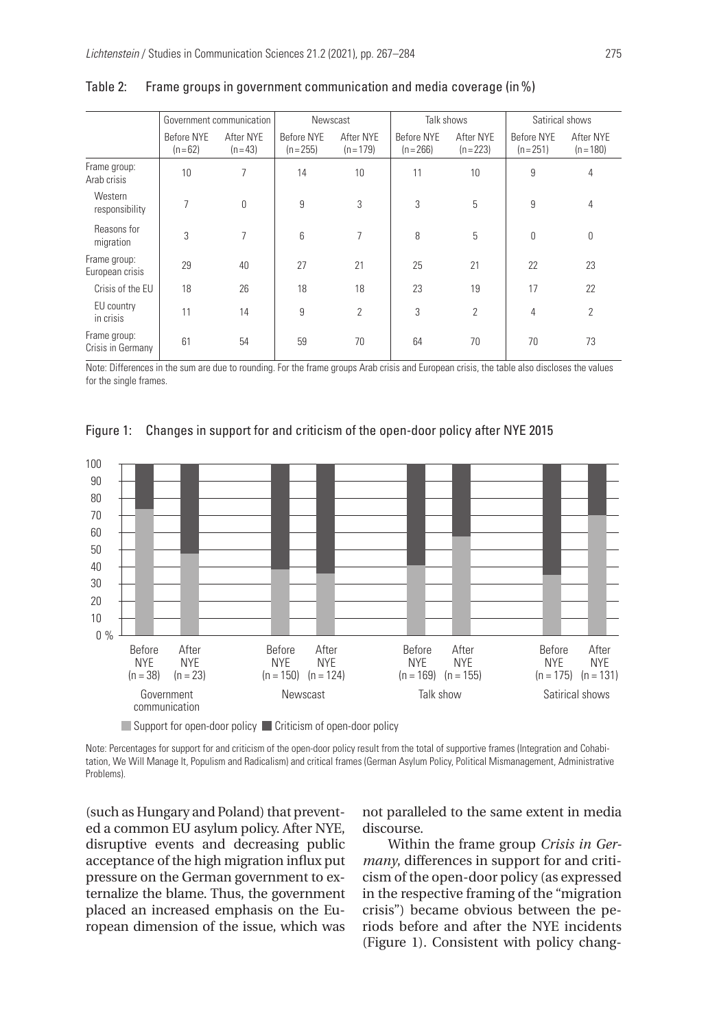|                                   | Government communication |                         | Newscast                  |                          | Talk shows                |                        | Satirical shows         |                          |
|-----------------------------------|--------------------------|-------------------------|---------------------------|--------------------------|---------------------------|------------------------|-------------------------|--------------------------|
|                                   | Before NYE<br>$(n=62)$   | After NYF<br>$(n = 43)$ | Before NYE<br>$(n = 255)$ | After NYF<br>$(n = 179)$ | Before NYE<br>$(n = 266)$ | After NYF<br>$(n=223)$ | Before NYE<br>$(n=251)$ | After NYE<br>$(n = 180)$ |
| Frame group:<br>Arab crisis       | 10                       | 7                       | 14                        | 10                       | 11                        | 10                     | 9                       | 4                        |
| Western<br>responsibility         | 7                        | 0                       | 9                         | 3                        | 3                         | 5                      | 9                       | 4                        |
| Reasons for<br>migration          | 3                        | 7                       | 6                         | 7                        | 8                         | 5                      | 0                       | 0                        |
| Frame group:<br>European crisis   | 29                       | 40                      | 27                        | 21                       | 25                        | 21                     | 22                      | 23                       |
| Crisis of the EU                  | 18                       | 26                      | 18                        | 18                       | 23                        | 19                     | 17                      | 22                       |
| EU country<br>in crisis           | 11                       | 14                      | 9                         | $\overline{2}$           | 3                         | $\overline{2}$         | 4                       | $\overline{2}$           |
| Frame group:<br>Crisis in Germany | 61                       | 54                      | 59                        | 70                       | 64                        | 70                     | 70                      | 73                       |

#### Table 2: Frame groups in government communication and media coverage (in%)

Note: Differences in the sum are due to rounding. For the frame groups Arab crisis and European crisis, the table also discloses the values for the single frames.



Figure 1: Changes in support for and criticism of the open-door policy after NYE 2015

■ Support for open-door policy ■ Criticism of open-door policy

Note: Percentages for support for and criticism of the open-door policy result from the total of supportive frames (Integration and Cohabitation, We Will Manage It, Populism and Radicalism) and critical frames (German Asylum Policy, Political Mismanagement, Administrative Problems).

(such as Hungary and Poland) that prevented a common EU asylum policy. After NYE, disruptive events and decreasing public acceptance of the high migration influx put pressure on the German government to externalize the blame. Thus, the government placed an increased emphasis on the European dimension of the issue, which was not paralleled to the same extent in media discourse.

Within the frame group *Crisis in Germany*, differences in support for and criticism of the open-door policy (as expressed in the respective framing of the "migration crisis") became obvious between the periods before and after the NYE incidents (Figure 1). Consistent with policy chang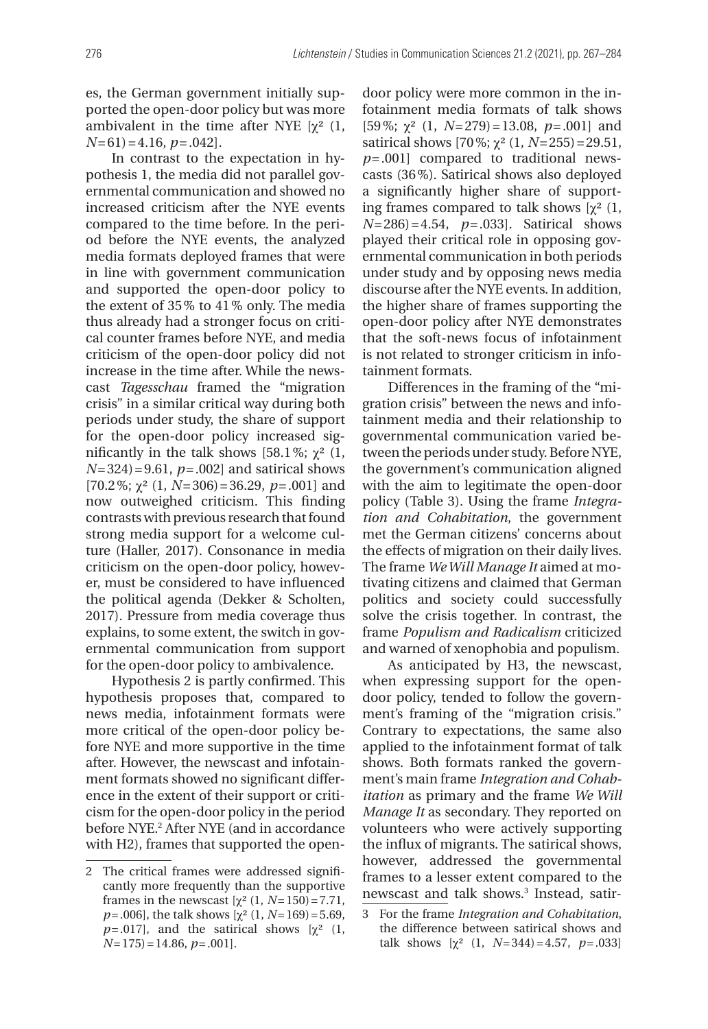es, the German government initially supported the open-door policy but was more ambivalent in the time after NYE  $[\gamma^2]$  (1, *N*=61)=4.16, *p*=.042].

In contrast to the expectation in hypothesis 1, the media did not parallel governmental communication and showed no increased criticism after the NYE events compared to the time before. In the period before the NYE events, the analyzed media formats deployed frames that were in line with government communication and supported the open-door policy to the extent of 35% to 41% only. The media thus already had a stronger focus on critical counter frames before NYE, and media criticism of the open-door policy did not increase in the time after. While the newscast *Tagesschau* framed the "migration crisis" in a similar critical way during both periods under study, the share of support for the open-door policy increased significantly in the talk shows [58.1%;  $χ²$  (1, *N*=324)=9.61, *p*=.002] and satirical shows [70.2%; χ² (1, *N*=306)=36.29, *p*=.001] and now outweighed criticism. This finding contrasts with previous research that found strong media support for a welcome culture (Haller, 2017). Consonance in media criticism on the open-door policy, however, must be considered to have influenced the political agenda (Dekker & Scholten, 2017). Pressure from media coverage thus explains, to some extent, the switch in governmental communication from support for the open-door policy to ambivalence.

Hypothesis 2 is partly confirmed. This hypothesis proposes that, compared to news media, infotainment formats were more critical of the open-door policy before NYE and more supportive in the time after. However, the newscast and infotainment formats showed no significant difference in the extent of their support or criticism for the open-door policy in the period before NYE.2 After NYE (and in accordance with H2), frames that supported the open-

door policy were more common in the infotainment media formats of talk shows [59%; χ² (1, *N*=279)=13.08, *p*=.001] and satirical shows  $[70\%; \chi^2(1, N=255)=29.51$ , *p*=.001] compared to traditional newscasts (36%). Satirical shows also deployed a significantly higher share of supporting frames compared to talk shows  $[\chi^2(1,$ *N*=286)=4.54, *p*=.033]. Satirical shows played their critical role in opposing governmental communication in both periods under study and by opposing news media discourse after the NYE events. In addition, the higher share of frames supporting the open-door policy after NYE demonstrates that the soft-news focus of infotainment is not related to stronger criticism in infotainment formats.

Differences in the framing of the "migration crisis" between the news and infotainment media and their relationship to governmental communication varied between the periods under study. Before NYE, the government's communication aligned with the aim to legitimate the open-door policy (Table 3). Using the frame *Integration and Cohabitation*, the government met the German citizens' concerns about the effects of migration on their daily lives. The frame *We Will Manage It* aimed at motivating citizens and claimed that German politics and society could successfully solve the crisis together. In contrast, the frame *Populism and Radicalism* criticized and warned of xenophobia and populism.

As anticipated by H3, the newscast, when expressing support for the opendoor policy, tended to follow the government's framing of the "migration crisis." Contrary to expectations, the same also applied to the infotainment format of talk shows. Both formats ranked the government's main frame *Integration and Cohabitation* as primary and the frame *We Will Manage It* as secondary. They reported on volunteers who were actively supporting the influx of migrants. The satirical shows, however, addressed the governmental frames to a lesser extent compared to the newscast and talk shows.3 Instead, satir-

<sup>2</sup> The critical frames were addressed significantly more frequently than the supportive frames in the newscast  $[\chi^2 (1, N=150) = 7.71]$ ,  $p = .006$ ], the talk shows  $[\chi^2 (1, N=169) = 5.69]$ ,  $p = .017$ ], and the satirical shows [ $\chi^2$  (1, *N*=175)=14.86, *p*=.001].

<sup>3</sup> For the frame *Integration and Cohabitation*, the difference between satirical shows and talk shows  $[\chi^2 (1, N=344)=4.57, p=.033]$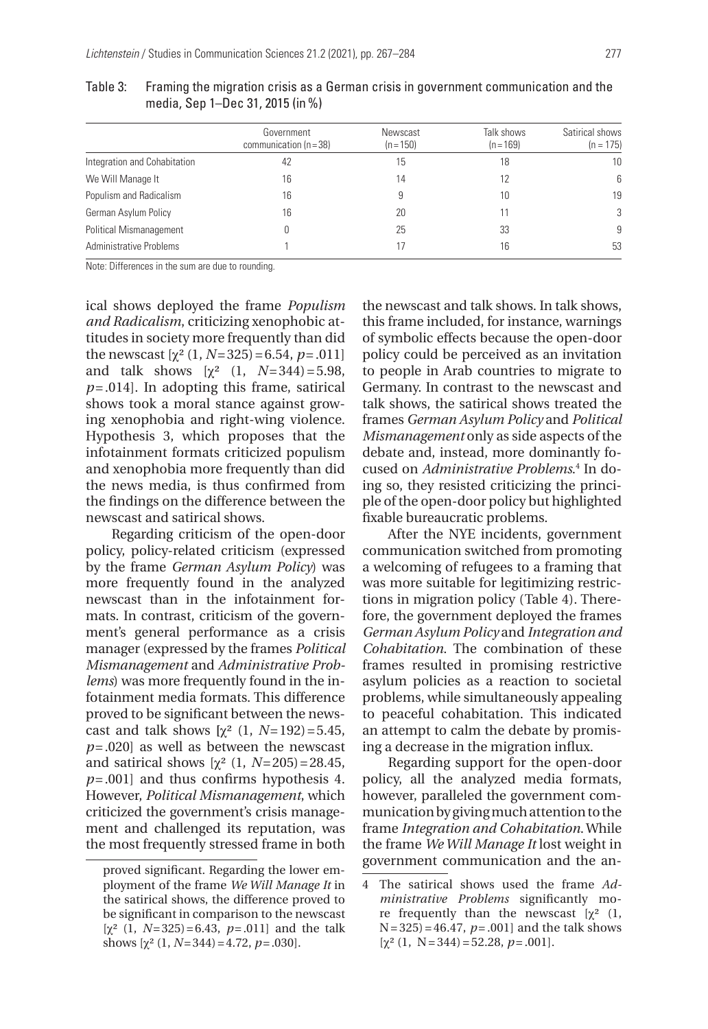|                                | Government<br>communication $(n=38)$ | Newscast<br>$(n = 150)$ | Talk shows<br>$(n = 169)$ | Satirical shows<br>$(n = 175)$ |
|--------------------------------|--------------------------------------|-------------------------|---------------------------|--------------------------------|
| Integration and Cohabitation   | 42                                   | 15                      | 18                        | 10                             |
| We Will Manage It              | 16                                   | 14                      | 12                        | 6                              |
| Populism and Radicalism        | 16                                   | 9                       | 10                        | 19                             |
| German Asylum Policy           | 16                                   | 20                      | 11                        | 3                              |
| <b>Political Mismanagement</b> | 0                                    | 25                      | 33                        | 9                              |
| <b>Administrative Problems</b> |                                      | 17                      | 16                        | 53                             |
|                                |                                      |                         |                           |                                |

Table 3: Framing the migration crisis as a German crisis in government communication and the media, Sep 1–Dec 31, 2015 (in%)

Note: Differences in the sum are due to rounding.

ical shows deployed the frame *Populism and Radicalism*, criticizing xenophobic attitudes in society more frequently than did the newscast  $[\chi^2 (1, N=325)=6.54, p=.011]$ and talk shows  $[\chi^2 (1, N=344) = 5.98]$ , *p*=.014]. In adopting this frame, satirical shows took a moral stance against growing xenophobia and right-wing violence. Hypothesis 3, which proposes that the infotainment formats criticized populism and xenophobia more frequently than did the news media, is thus confirmed from the findings on the difference between the newscast and satirical shows.

Regarding criticism of the open-door policy, policy-related criticism (expressed by the frame *German Asylum Policy*) was more frequently found in the analyzed newscast than in the infotainment formats. In contrast, criticism of the government's general performance as a crisis manager (expressed by the frames *Political Mismanagement* and *Administrative Problems*) was more frequently found in the infotainment media formats. This difference proved to be significant between the newscast and talk shows  $[\chi^2 (1, N=192) = 5.45]$ , *p*=.020] as well as between the newscast and satirical shows  $[\chi^2 (1, N=205) = 28.45,$ *p*=.001] and thus confirms hypothesis 4. However, *Political Mismanagement*, which criticized the government's crisis management and challenged its reputation, was the most frequently stressed frame in both

the newscast and talk shows. In talk shows, this frame included, for instance, warnings of symbolic effects because the open-door policy could be perceived as an invitation to people in Arab countries to migrate to Germany. In contrast to the newscast and talk shows, the satirical shows treated the frames *German Asylum Policy* and *Political Mismanagement* only as side aspects of the debate and, instead, more dominantly focused on *Administrative Problems*. 4 In doing so, they resisted criticizing the principle of the open-door policy but highlighted fixable bureaucratic problems.

After the NYE incidents, government communication switched from promoting a welcoming of refugees to a framing that was more suitable for legitimizing restrictions in migration policy (Table 4). Therefore, the government deployed the frames *German Asylum Policy* and *Integration and Cohabitation*. The combination of these frames resulted in promising restrictive asylum policies as a reaction to societal problems, while simultaneously appealing to peaceful cohabitation. This indicated an attempt to calm the debate by promising a decrease in the migration influx.

Regarding support for the open-door policy, all the analyzed media formats, however, paralleled the government communication by giving much attention to the frame *Integration and Cohabitation*. While the frame *We Will Manage It* lost weight in government communication and the an-

proved significant. Regarding the lower employment of the frame *We Will Manage It* in the satirical shows, the difference proved to be significant in comparison to the newscast [χ² (1, *N*=325)=6.43, *p*=.011] and the talk shows  $[\chi^2 (1, N=344)=4.72, p=.030]$ .

<sup>4</sup> The satirical shows used the frame *Administrative Problems* significantly more frequently than the newscast  $[\chi^2 (1,$ N= 325) = 46.47, *p*= .001] and the talk shows  $[\chi^2 (1, N=344) = 52.28, p=.001].$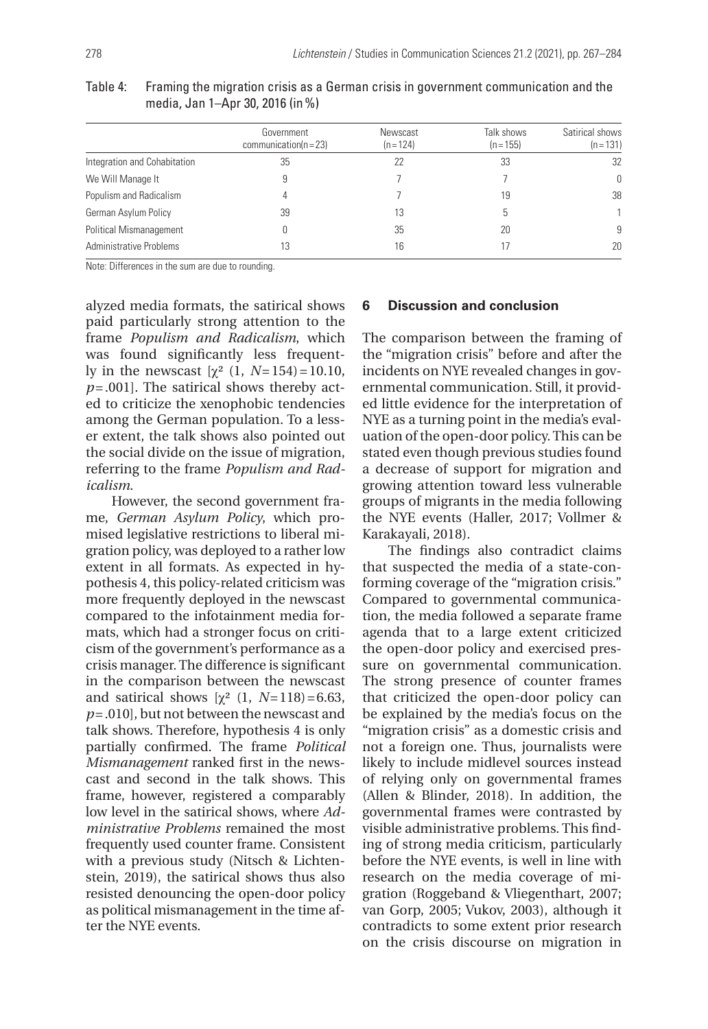|                                | Government<br>communication $(n=23)$ | Newscast<br>$(n = 124)$ | Talk shows<br>$(n = 155)$ | Satirical shows<br>$(n = 131)$ |
|--------------------------------|--------------------------------------|-------------------------|---------------------------|--------------------------------|
| Integration and Cohabitation   | 35                                   | 22                      | 33                        | 32                             |
| We Will Manage It              | 9                                    |                         |                           | $\theta$                       |
| Populism and Radicalism        | 4                                    |                         | 19                        | 38                             |
| German Asylum Policy           | 39                                   | 13                      | 5                         |                                |
| Political Mismanagement        |                                      | 35                      | 20                        | 9                              |
| <b>Administrative Problems</b> | 13                                   | 16                      | 17                        | 20                             |

Table 4: Framing the migration crisis as a German crisis in government communication and the media, Jan 1–Apr 30, 2016 (in%)

Note: Differences in the sum are due to rounding.

alyzed media formats, the satirical shows paid particularly strong attention to the frame *Populism and Radicalism*, which was found significantly less frequently in the newscast  $[χ² (1, N=154)=10.10,$ *p*=.001]. The satirical shows thereby acted to criticize the xenophobic tendencies among the German population. To a lesser extent, the talk shows also pointed out the social divide on the issue of migration, referring to the frame *Populism and Radicalism*.

However, the second government frame, *German Asylum Policy*, which promised legislative restrictions to liberal migration policy, was deployed to a rather low extent in all formats. As expected in hypothesis 4, this policy-related criticism was more frequently deployed in the newscast compared to the infotainment media formats, which had a stronger focus on criticism of the government's performance as a crisis manager. The difference is significant in the comparison between the newscast and satirical shows  $[\chi^2 (1, N=118) = 6.63]$ , *p*=.010], but not between the newscast and talk shows. Therefore, hypothesis 4 is only partially confirmed. The frame *Political Mismanagement* ranked first in the newscast and second in the talk shows. This frame, however, registered a comparably low level in the satirical shows, where *Administrative Problems* remained the most frequently used counter frame. Consistent with a previous study (Nitsch & Lichtenstein, 2019), the satirical shows thus also resisted denouncing the open-door policy as political mismanagement in the time after the NYE events.

## **6 Discussion and conclusion**

The comparison between the framing of the "migration crisis" before and after the incidents on NYE revealed changes in governmental communication. Still, it provided little evidence for the interpretation of NYE as a turning point in the media's evaluation of the open-door policy. This can be stated even though previous studies found a decrease of support for migration and growing attention toward less vulnerable groups of migrants in the media following the NYE events (Haller, 2017; Vollmer & Karakayali, 2018).

The findings also contradict claims that suspected the media of a state-conforming coverage of the "migration crisis." Compared to governmental communication, the media followed a separate frame agenda that to a large extent criticized the open-door policy and exercised pressure on governmental communication. The strong presence of counter frames that criticized the open-door policy can be explained by the media's focus on the "migration crisis" as a domestic crisis and not a foreign one. Thus, journalists were likely to include midlevel sources instead of relying only on governmental frames (Allen & Blinder, 2018). In addition, the governmental frames were contrasted by visible administrative problems. This finding of strong media criticism, particularly before the NYE events, is well in line with research on the media coverage of migration (Roggeband & Vliegenthart, 2007; van Gorp, 2005; Vukov, 2003), although it contradicts to some extent prior research on the crisis discourse on migration in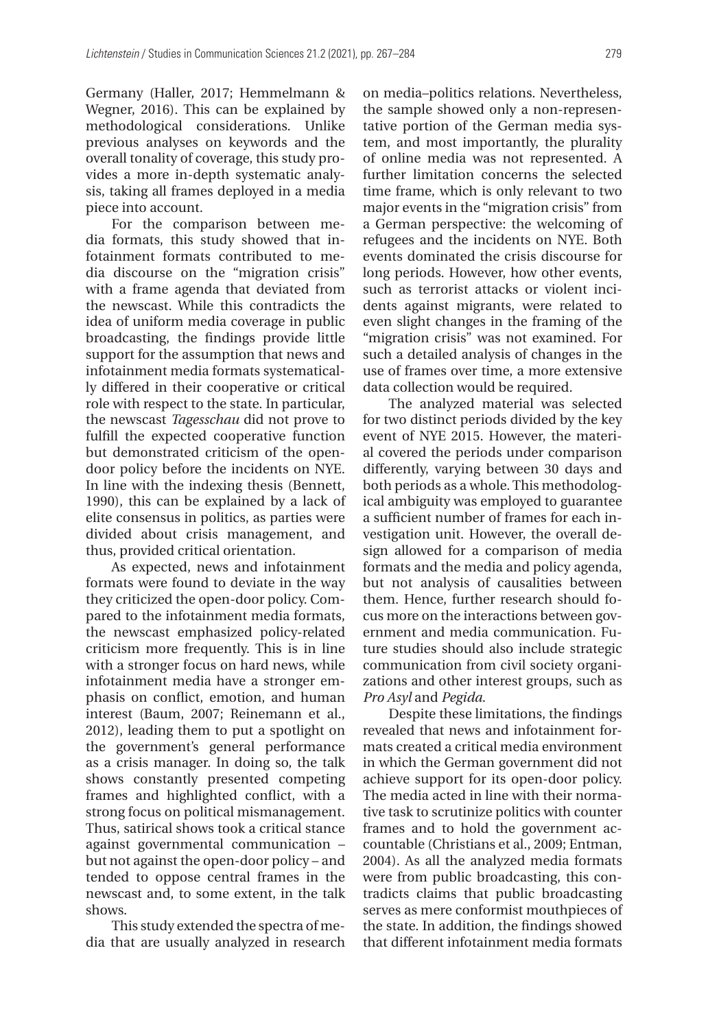Germany (Haller, 2017; Hemmelmann & Wegner, 2016). This can be explained by methodological considerations. Unlike previous analyses on keywords and the overall tonality of coverage, this study provides a more in-depth systematic analysis, taking all frames deployed in a media piece into account.

For the comparison between media formats, this study showed that infotainment formats contributed to media discourse on the "migration crisis" with a frame agenda that deviated from the newscast. While this contradicts the idea of uniform media coverage in public broadcasting, the findings provide little support for the assumption that news and infotainment media formats systematically differed in their cooperative or critical role with respect to the state. In particular, the newscast *Tagesschau* did not prove to fulfill the expected cooperative function but demonstrated criticism of the opendoor policy before the incidents on NYE. In line with the indexing thesis (Bennett, 1990), this can be explained by a lack of elite consensus in politics, as parties were divided about crisis management, and thus, provided critical orientation.

As expected, news and infotainment formats were found to deviate in the way they criticized the open-door policy. Compared to the infotainment media formats, the newscast emphasized policy-related criticism more frequently. This is in line with a stronger focus on hard news, while infotainment media have a stronger emphasis on conflict, emotion, and human interest (Baum, 2007; Reinemann et al., 2012), leading them to put a spotlight on the government's general performance as a crisis manager. In doing so, the talk shows constantly presented competing frames and highlighted conflict, with a strong focus on political mismanagement. Thus, satirical shows took a critical stance against governmental communication – but not against the open-door policy – and tended to oppose central frames in the newscast and, to some extent, in the talk shows.

This study extended the spectra of media that are usually analyzed in research on media–politics relations. Nevertheless, the sample showed only a non-representative portion of the German media system, and most importantly, the plurality of online media was not represented. A further limitation concerns the selected time frame, which is only relevant to two major events in the "migration crisis" from a German perspective: the welcoming of refugees and the incidents on NYE. Both events dominated the crisis discourse for long periods. However, how other events, such as terrorist attacks or violent incidents against migrants, were related to even slight changes in the framing of the "migration crisis" was not examined. For such a detailed analysis of changes in the use of frames over time, a more extensive data collection would be required.

The analyzed material was selected for two distinct periods divided by the key event of NYE 2015. However, the material covered the periods under comparison differently, varying between 30 days and both periods as a whole. This methodological ambiguity was employed to guarantee a sufficient number of frames for each investigation unit. However, the overall design allowed for a comparison of media formats and the media and policy agenda, but not analysis of causalities between them. Hence, further research should focus more on the interactions between government and media communication. Future studies should also include strategic communication from civil society organizations and other interest groups, such as *Pro Asyl* and *Pegida*.

Despite these limitations, the findings revealed that news and infotainment formats created a critical media environment in which the German government did not achieve support for its open-door policy. The media acted in line with their normative task to scrutinize politics with counter frames and to hold the government accountable (Christians et al., 2009; Entman, 2004). As all the analyzed media formats were from public broadcasting, this contradicts claims that public broadcasting serves as mere conformist mouthpieces of the state. In addition, the findings showed that different infotainment media formats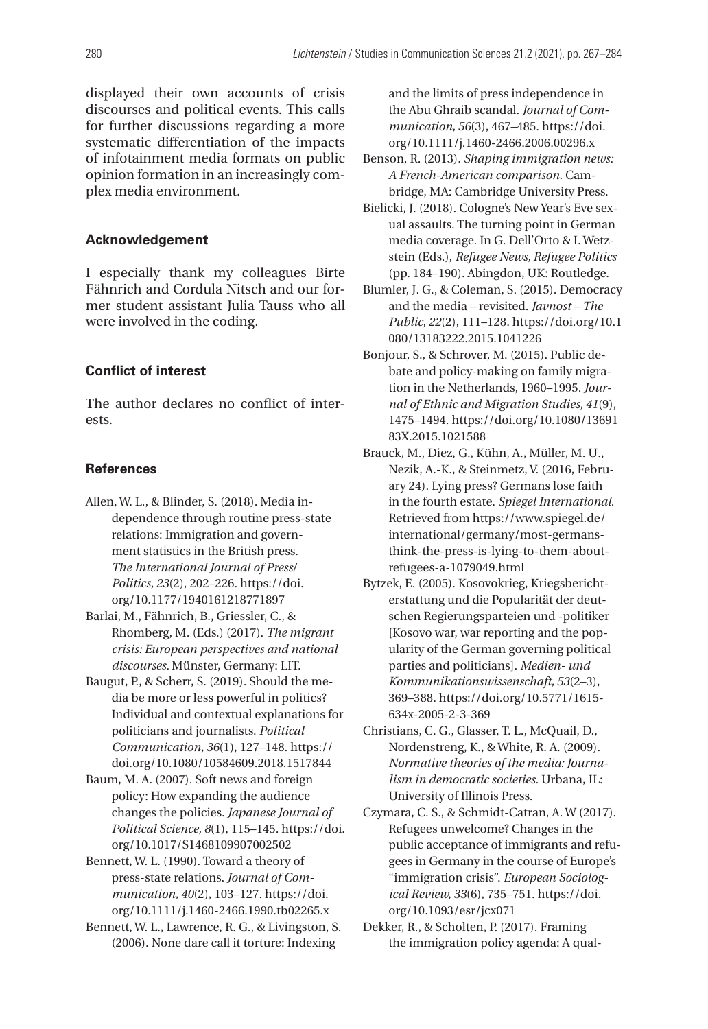displayed their own accounts of crisis discourses and political events. This calls for further discussions regarding a more systematic differentiation of the impacts of infotainment media formats on public opinion formation in an increasingly complex media environment.

### **Acknowledgement**

I especially thank my colleagues Birte Fähnrich and Cordula Nitsch and our former student assistant Julia Tauss who all were involved in the coding.

### **Conflict of interest**

The author declares no conflict of interests.

#### **References**

- Allen, W. L., & Blinder, S. (2018). Media independence through routine press-state relations: Immigration and government statistics in the British press. *The International Journal of Press/ Politics, 23*(2), 202–226. [https://doi.](https://doi.org/10.1177/1940161218771897) [org/10.1177/1940161218771897](https://doi.org/10.1177/1940161218771897)
- Barlai, M., Fähnrich, B., Griessler, C., & Rhomberg, M. (Eds.) (2017). *The migrant crisis: European perspectives and national discourses.* Münster, Germany: LIT.
- Baugut, P., & Scherr, S. (2019). Should the media be more or less powerful in politics? Individual and contextual explanations for politicians and journalists. *Political Communication, 36*(1), 127–148. [https://](https://doi.org/10.1080/10584609.2018.1517844) [doi.org/10.1080/10584609.2018.1517844](https://doi.org/10.1080/10584609.2018.1517844)
- Baum, M. A. (2007). Soft news and foreign policy: How expanding the audience changes the policies. *Japanese Journal of Political Science, 8*(1), 115–145. [https://doi.](https://doi.org/10.1017/S1468109907002502) [org/10.1017/S1468109907002502](https://doi.org/10.1017/S1468109907002502)
- Bennett, W. L. (1990). Toward a theory of press-state relations. *Journal of Communication, 40*(2), 103–127. [https://doi.](https://doi.org/10.1111/j.1460-2466.1990.tb02265.x) [org/10.1111/j.1460-2466.1990.tb02265.x](https://doi.org/10.1111/j.1460-2466.1990.tb02265.x)
- Bennett, W. L., Lawrence, R. G., & Livingston, S. (2006). None dare call it torture: Indexing

and the limits of press independence in the Abu Ghraib scandal. *Journal of Communication, 56*(3), 467–485. [https://doi.](https://doi.org/10.1111/j.1460-2466.2006.00296.x) [org/10.1111/j.1460-2466.2006.00296.x](https://doi.org/10.1111/j.1460-2466.2006.00296.x)

- Benson, R. (2013). *Shaping immigration news: A French-American comparison*. Cambridge, MA: Cambridge University Press.
- Bielicki, J. (2018). Cologne's New Year's Eve sexual assaults. The turning point in German media coverage. In G. Dell'Orto & I. Wetzstein (Eds.), *Refugee News, Refugee Politics* (pp. 184–190). Abingdon, UK: Routledge.
- Blumler, J. G., & Coleman, S. (2015). Democracy and the media – revisited. *Javnost – The Public, 22*(2), 111–128. [https://doi.org/10.1](https://doi.org/10.1080/13183222.2015.1041226) [080/13183222.2015.1041226](https://doi.org/10.1080/13183222.2015.1041226)
- Bonjour, S., & Schrover, M. (2015). Public debate and policy-making on family migration in the Netherlands, 1960–1995. *Journal of Ethnic and Migration Studies, 41*(9), 1475–1494. [https://doi.org/10.1080/13691](https://doi.org/10.1080/1369183X.2015.1021588) [83X.2015.1021588](https://doi.org/10.1080/1369183X.2015.1021588)
- Brauck, M., Diez, G., Kühn, A., Müller, M. U., Nezik, A.-K., & Steinmetz, V. (2016, February 24). Lying press? Germans lose faith in the fourth estate. *Spiegel International*. Retrieved from [https://www.spiegel.de/](https://www.spiegel.de/international/germany/most-germans-think-the-press-is-lying-to-them-about-refugees-a-1079049.html) [international/germany/most-germans](https://www.spiegel.de/international/germany/most-germans-think-the-press-is-lying-to-them-about-refugees-a-1079049.html)[think-the-press-is-lying-to-them-about](https://www.spiegel.de/international/germany/most-germans-think-the-press-is-lying-to-them-about-refugees-a-1079049.html)[refugees-a-1079049.html](https://www.spiegel.de/international/germany/most-germans-think-the-press-is-lying-to-them-about-refugees-a-1079049.html)
- Bytzek, E. (2005). Kosovokrieg, Kriegsberichterstattung und die Popularität der deutschen Regierungsparteien und -politiker [Kosovo war, war reporting and the popularity of the German governing political parties and politicians]. *Medien- und Kommunikationswissenschaft, 53*(2–3), 369–388. [https://doi.org/10.5771/1615-](https://doi.org/10.5771/1615-634x-2005-2-3-369) [634x-2005-2-3-369](https://doi.org/10.5771/1615-634x-2005-2-3-369)
- Christians, C. G., Glasser, T. L., McQuail, D., Nordenstreng, K., & White, R. A. (2009). *Normative theories of the media: Journalism in democratic societies*. Urbana, IL: University of Illinois Press.
- Czymara, C. S., & Schmidt-Catran, A. W (2017). Refugees unwelcome? Changes in the public acceptance of immigrants and refugees in Germany in the course of Europe's "immigration crisis". *European Sociological Review, 33*(6), 735–751. [https://doi.](https://doi.org/10.1093/esr/jcx071) [org/10.1093/esr/jcx071](https://doi.org/10.1093/esr/jcx071)
- Dekker, R., & Scholten, P. (2017). Framing the immigration policy agenda: A qual-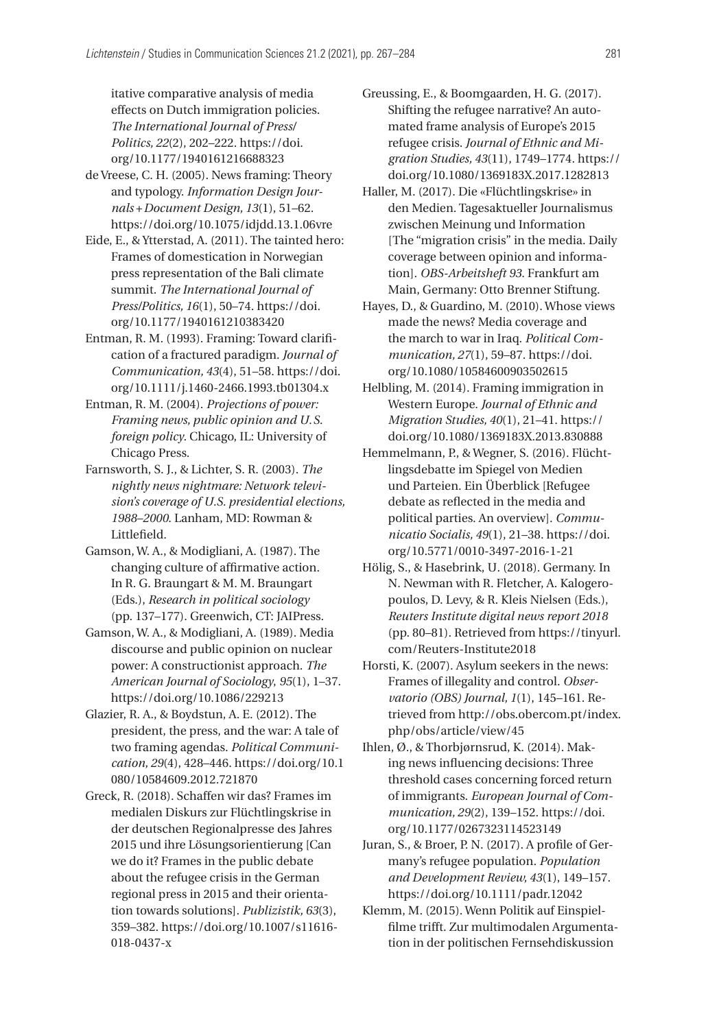itative comparative analysis of media effects on Dutch immigration policies. *The International Journal of Press/ Politics, 22*(2), 202–222. [https://doi.](https://doi.org/10.1177/1940161216688323) [org/10.1177/1940161216688323](https://doi.org/10.1177/1940161216688323)

- de Vreese, C. H. (2005). News framing: Theory and typology. *Information Design Journals+Document Design, 13*(1), 51–62. <https://doi.org/10.1075/idjdd.13.1.06vre>
- Eide, E., & Ytterstad, A. (2011). The tainted hero: Frames of domestication in Norwegian press representation of the Bali climate summit. *The International Journal of Press/Politics, 16*(1), 50–74. [https://doi.](https://doi.org/10.1177/1940161210383420) [org/10.1177/1940161210383420](https://doi.org/10.1177/1940161210383420)
- Entman, R. M. (1993). Framing: Toward clarification of a fractured paradigm. *Journal of Communication, 43*(4), 51–58. [https://doi.](https://doi.org/10.1111/j.1460-2466.1993.tb01304.x) [org/10.1111/j.1460-2466.1993.tb01304.x](https://doi.org/10.1111/j.1460-2466.1993.tb01304.x)
- Entman, R. M. (2004). *Projections of power: Framing news, public opinion and U.S. foreign policy*. Chicago, IL: University of Chicago Press.
- Farnsworth, S. J., & Lichter, S. R. (2003). *The nightly news nightmare: Network television's coverage of U.S. presidential elections, 1988–2000*. Lanham, MD: Rowman & Littlefield.
- Gamson, W. A., & Modigliani, A. (1987). The changing culture of affirmative action. In R. G. Braungart & M. M. Braungart (Eds.), *Research in political sociology* (pp. 137–177). Greenwich, CT: JAIPress.
- Gamson, W. A., & Modigliani, A. (1989). Media discourse and public opinion on nuclear power: A constructionist approach. *The American Journal of Sociology*, *95*(1), 1–37. <https://doi.org/10.1086/229213>
- Glazier, R. A., & Boydstun, A. E. (2012). The president, the press, and the war: A tale of two framing agendas. *Political Communication, 29*(4), 428–446. [https://doi.org/10.1](https://doi.org/10.1080/10584609.2012.721870) [080/10584609.2012.721870](https://doi.org/10.1080/10584609.2012.721870)
- Greck, R. (2018). Schaffen wir das? Frames im medialen Diskurs zur Flüchtlingskrise in der deutschen Regionalpresse des Jahres 2015 und ihre Lösungsorientierung [Can we do it? Frames in the public debate about the refugee crisis in the German regional press in 2015 and their orientation towards solutions]. *Publizistik, 63*(3), 359–382. [https://doi.org/10.1007/s11616-](https://doi.org/10.1007/s11616-018-0437-x) [018-0437-x](https://doi.org/10.1007/s11616-018-0437-x)
- Greussing, E., & Boomgaarden, H. G. (2017). Shifting the refugee narrative? An automated frame analysis of Europe's 2015 refugee crisis. *Journal of Ethnic and Migration Studies, 43*(11), 1749–1774. [https://](https://doi.org/10.1080/1369183X.2017.1282813) [doi.org/10.1080/1369183X.2017.1282813](https://doi.org/10.1080/1369183X.2017.1282813)
- Haller, M. (2017). Die «Flüchtlingskrise» in den Medien. Tagesaktueller Journalismus zwischen Meinung und Information [The "migration crisis" in the media. Daily coverage between opinion and information]. *OBS-Arbeitsheft 93*. Frankfurt am Main, Germany: Otto Brenner Stiftung.
- Hayes, D., & Guardino, M. (2010). Whose views made the news? Media coverage and the march to war in Iraq. *Political Communication, 27*(1), 59–87. [https://doi.](https://doi.org/10.1080/10584600903502615) [org/10.1080/10584600903502615](https://doi.org/10.1080/10584600903502615)
- Helbling, M. (2014). Framing immigration in Western Europe. *Journal of Ethnic and Migration Studies, 40*(1), 21–41. [https://](https://doi.org/10.1080/1369183X.2013.830888) [doi.org/10.1080/1369183X.2013.830888](https://doi.org/10.1080/1369183X.2013.830888)
- Hemmelmann, P., & Wegner, S. (2016). Flüchtlingsdebatte im Spiegel von Medien und Parteien. Ein Überblick [Refugee debate as reflected in the media and political parties. An overview]. *Communicatio Socialis, 49*(1), 21–38. [https://doi.](https://doi.org/10.5771/0010-3497-2016-1-21) [org/10.5771/0010-3497-2016-1-21](https://doi.org/10.5771/0010-3497-2016-1-21)
- Hölig, S., & Hasebrink, U. (2018). Germany. In N. Newman with R. Fletcher, A. Kalogeropoulos, D. Levy, & R. Kleis Nielsen (Eds.), *Reuters Institute digital news report 2018* (pp. 80–81). Retrieved from [https://tinyurl.](https://tinyurl.com/Reuters-Institute2018) [com/Reuters-Institute2018](https://tinyurl.com/Reuters-Institute2018)
- Horsti, K. (2007). Asylum seekers in the news: Frames of illegality and control. *Observatorio (OBS) Journal, 1*(1), 145–161. Retrieved from [http://obs.obercom.pt/index.](http://obs.obercom.pt/index.php/obs/article/view/45) [php/obs/article/view/45](http://obs.obercom.pt/index.php/obs/article/view/45)
- Ihlen, Ø., & Thorbjørnsrud, K. (2014). Making news influencing decisions: Three threshold cases concerning forced return of immigrants. *European Journal of Communication, 29*(2), 139–152. [https://doi.](https://doi.org/10.1177/0267323114523149) [org/10.1177/0267323114523149](https://doi.org/10.1177/0267323114523149)
- Juran, S., & Broer, P. N. (2017). A profile of Germany's refugee population. *Population and Development Review, 43*(1), 149–157. <https://doi.org/10.1111/padr.12042>
- Klemm, M. (2015). Wenn Politik auf Einspielfilme trifft. Zur multimodalen Argumentation in der politischen Fernsehdiskussion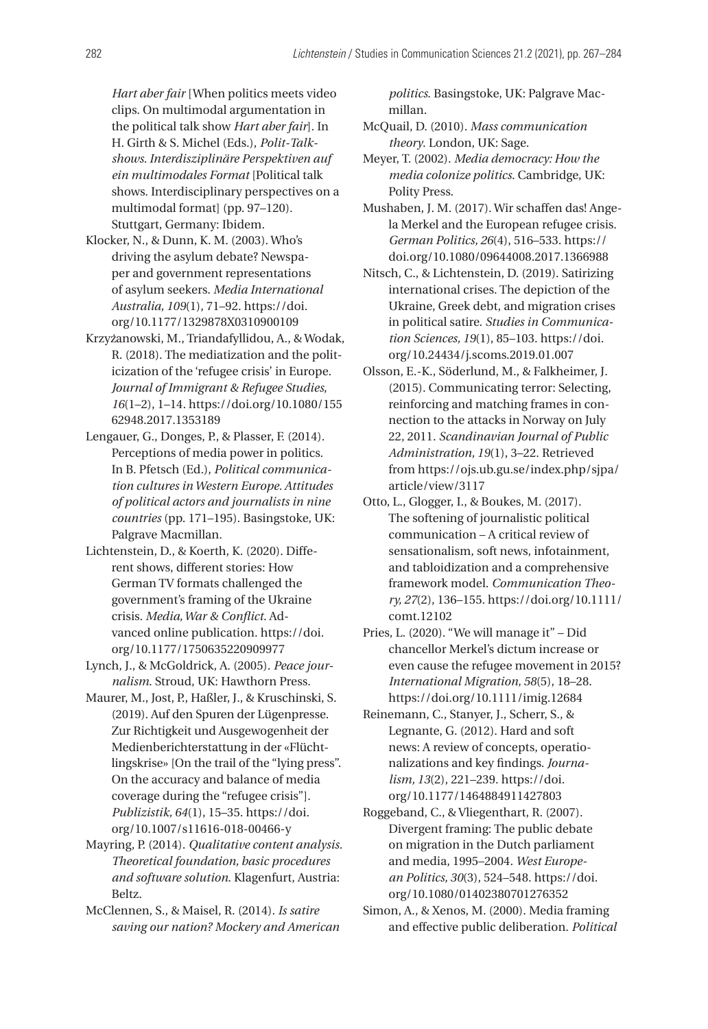*Hart aber fair* [When politics meets video clips. On multimodal argumentation in the political talk show *Hart aber fair*]. In H. Girth & S. Michel (Eds.), *Polit-Talkshows. Interdisziplinäre Perspektiven auf ein multimodales Format* [Political talk shows. Interdisciplinary perspectives on a multimodal format] (pp. 97–120). Stuttgart, Germany: Ibidem.

- Klocker, N., & Dunn, K. M. (2003). Who's driving the asylum debate? Newspaper and government representations of asylum seekers. *Media International Australia, 109*(1), 71–92. [https://doi.](https://doi.org/10.1177/1329878X0310900109) [org/10.1177/1329878X0310900109](https://doi.org/10.1177/1329878X0310900109)
- Krzyżanowski, M., Triandafyllidou, A., & Wodak, R. (2018). The mediatization and the politicization of the 'refugee crisis' in Europe. *Journal of Immigrant & Refugee Studies*, *16*(1–2), 1–14. [https://doi.org/10.1080/155](https://doi.org/10.1080/15562948.2017.1353189) [62948.2017.1353189](https://doi.org/10.1080/15562948.2017.1353189)
- Lengauer, G., Donges, P., & Plasser, F. (2014). Perceptions of media power in politics. In B. Pfetsch (Ed.), *Political communication cultures in Western Europe. Attitudes of political actors and journalists in nine countries* (pp. 171–195). Basingstoke, UK: Palgrave Macmillan.
- Lichtenstein, D., & Koerth, K. (2020). Different shows, different stories: How German TV formats challenged the government's framing of the Ukraine crisis. *Media, War & Conflict*. Advanced online publication. [https://doi.](https://doi.org/10.1177/1750635220909977) [org/10.1177/1750635220909977](https://doi.org/10.1177/1750635220909977)

Lynch, J., & McGoldrick, A. (2005). *Peace journalism*. Stroud, UK: Hawthorn Press.

- Maurer, M., Jost, P., Haßler, J., & Kruschinski, S. (2019). Auf den Spuren der Lügenpresse. Zur Richtigkeit und Ausgewogenheit der Medienberichterstattung in der «Flüchtlingskrise» [On the trail of the "lying press". On the accuracy and balance of media coverage during the "refugee crisis"]. *Publizistik, 64*(1), 15–35. [https://doi.](https://doi.org/10.1007/s11616-018-00466-y) [org/10.1007/s11616-018-00466-y](https://doi.org/10.1007/s11616-018-00466-y)
- Mayring, P. (2014). *Qualitative content analysis. Theoretical foundation, basic procedures and software solution*. Klagenfurt, Austria: Beltz.
- McClennen, S., & Maisel, R. (2014). *Is satire saving our nation? Mockery and American*

*politics*. Basingstoke, UK: Palgrave Macmillan.

- McQuail, D. (2010). *Mass communication theory*. London, UK: Sage.
- Meyer, T. (2002). *Media democracy: How the media colonize politics*. Cambridge, UK: Polity Press.
- Mushaben, J. M. (2017). Wir schaffen das! Angela Merkel and the European refugee crisis. *German Politics, 26*(4), 516–533. [https://](https://doi.org/10.1080/09644008.2017.1366988) [doi.org/10.1080/09644008.2017.1366988](https://doi.org/10.1080/09644008.2017.1366988)
- Nitsch, C., & Lichtenstein, D. (2019). Satirizing international crises. The depiction of the Ukraine, Greek debt, and migration crises in political satire. *Studies in Communication Sciences, 19*(1), 85–103. [https://doi.](https://doi.org/10.24434/j.scoms.2019.01.007) [org/10.24434/j.scoms.2019.01.007](https://doi.org/10.24434/j.scoms.2019.01.007)
- Olsson, E.-K., Söderlund, M., & Falkheimer, J. (2015). Communicating terror: Selecting, reinforcing and matching frames in connection to the attacks in Norway on July 22, 2011. *Scandinavian Journal of Public Administration, 19*(1), 3–22. Retrieved from [https://ojs.ub.gu.se/index.php/sjpa/](https://ojs.ub.gu.se/index.php/sjpa/article/view/3117) [article/view/3117](https://ojs.ub.gu.se/index.php/sjpa/article/view/3117)
- Otto, L., Glogger, I., & Boukes, M. (2017). The softening of journalistic political communication – A critical review of sensationalism, soft news, infotainment, and tabloidization and a comprehensive framework model. *Communication Theory, 27*(2), 136–155. [https://doi.org/10.1111/](https://doi.org/10.1111/comt.12102) [comt.12102](https://doi.org/10.1111/comt.12102)
- Pries, L. (2020). "We will manage it" Did chancellor Merkel's dictum increase or even cause the refugee movement in 2015? *International Migration, 58*(5), 18–28. <https://doi.org/10.1111/imig.12684>
- Reinemann, C., Stanyer, J., Scherr, S., & Legnante, G. (2012). Hard and soft news: A review of concepts, operationalizations and key findings. *Journalism, 13*(2), 221–239. [https://doi.](https://doi.org/10.1177/1464884911427803) [org/10.1177/1464884911427803](https://doi.org/10.1177/1464884911427803)
- Roggeband, C., & Vliegenthart, R. (2007). Divergent framing: The public debate on migration in the Dutch parliament and media, 1995–2004. *West European Politics, 30*(3), 524–548. [https://doi.](https://doi.org/10.1080/01402380701276352) [org/10.1080/01402380701276352](https://doi.org/10.1080/01402380701276352)
- Simon, A., & Xenos, M. (2000). Media framing and effective public deliberation. *Political*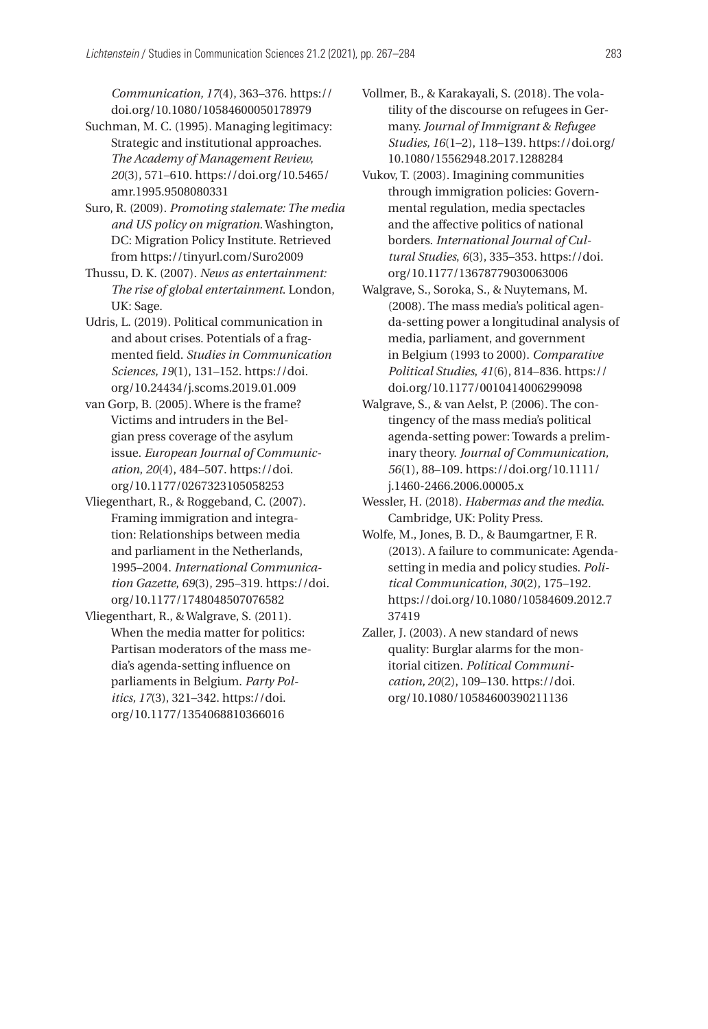*Communication, 17*(4), 363–376. [https://](https://doi.org/10.1080/10584600050178979) [doi.org/10.1080/10584600050178979](https://doi.org/10.1080/10584600050178979)

- Suchman, M. C. (1995). Managing legitimacy: Strategic and institutional approaches. *The Academy of Management Review, 20*(3), 571–610. [https://doi.org/10.5465/](https://doi.org/10.5465/amr.1995.9508080331) [amr.1995.9508080331](https://doi.org/10.5465/amr.1995.9508080331)
- Suro, R. (2009). *Promoting stalemate: The media and US policy on migration*. Washington, DC: Migration Policy Institute. Retrieved from <https://tinyurl.com/Suro2009>
- Thussu, D. K. (2007). *News as entertainment: The rise of global entertainment*. London, UK: Sage.
- Udris, L. (2019). Political communication in and about crises. Potentials of a fragmented field. *Studies in Communication Sciences, 19*(1), 131–152. [https://doi.](https://doi.org/10.24434/j.scoms.2019.01.009) [org/10.24434/j.scoms.2019.01.009](https://doi.org/10.24434/j.scoms.2019.01.009)
- van Gorp, B. (2005). Where is the frame? Victims and intruders in the Belgian press coverage of the asylum issue. *European Journal of Communication*, *20*(4), 484–507. [https://doi.](https://doi.org/10.1177/0267323105058253) [org/10.1177/0267323105058253](https://doi.org/10.1177/0267323105058253)
- Vliegenthart, R., & Roggeband, C. (2007). Framing immigration and integration: Relationships between media and parliament in the Netherlands, 1995–2004. *International Communication Gazette*, *69*(3), 295–319. [https://doi.](https://doi.org/10.1177/1748048507076582) [org/10.1177/1748048507076582](https://doi.org/10.1177/1748048507076582)
- Vliegenthart, R., & Walgrave, S. (2011). When the media matter for politics: Partisan moderators of the mass media's agenda-setting influence on parliaments in Belgium. *Party Politics, 17*(3), 321–342. [https://doi.](https://doi.org/10.1177/1354068810366016) [org/10.1177/1354068810366016](https://doi.org/10.1177/1354068810366016)
- Vollmer, B., & Karakayali, S. (2018). The volatility of the discourse on refugees in Germany. *Journal of Immigrant & Refugee Studies, 16*(1–2), 118–139. [https://doi.org/](https://doi.org/10.1080/15562948.2017.1288284) [10.1080/15562948.2017.1288284](https://doi.org/10.1080/15562948.2017.1288284)
- Vukov, T. (2003). Imagining communities through immigration policies: Governmental regulation, media spectacles and the affective politics of national borders. *International Journal of Cultural Studies*, *6*(3), 335–353. [https://doi.](https://doi.org/10.1177/13678779030063006) [org/10.1177/13678779030063006](https://doi.org/10.1177/13678779030063006)
- Walgrave, S., Soroka, S., & Nuytemans, M. (2008). The mass media's political agenda-setting power a longitudinal analysis of media, parliament, and government in Belgium (1993 to 2000). *Comparative Political Studies*, *41*(6), 814–836. [https://](https://doi.org/10.1177/0010414006299098) [doi.org/10.1177/0010414006299098](https://doi.org/10.1177/0010414006299098)
- Walgrave, S., & van Aelst, P. (2006). The contingency of the mass media's political agenda-setting power: Towards a preliminary theory. *Journal of Communication, 56*(1), 88–109. [https://doi.org/10.1111/](https://doi.org/10.1111/j.1460-2466.2006.00005.x) [j.1460-2466.2006.00005.x](https://doi.org/10.1111/j.1460-2466.2006.00005.x)
- Wessler, H. (2018). *Habermas and the media*. Cambridge, UK: Polity Press.
- Wolfe, M., Jones, B. D., & Baumgartner, F. R. (2013). A failure to communicate: Agendasetting in media and policy studies. *Political Communication*, *30*(2), 175–192. [https://doi.org/10.1080/10584609.2012.7](https://doi.org/10.1080/10584609.2012.737419) [37419](https://doi.org/10.1080/10584609.2012.737419)
- Zaller, J. (2003). A new standard of news quality: Burglar alarms for the monitorial citizen. *Political Communication, 20*(2), 109–130. [https://doi.](https://doi.org/10.1080/10584600390211136) [org/10.1080/10584600390211136](https://doi.org/10.1080/10584600390211136)